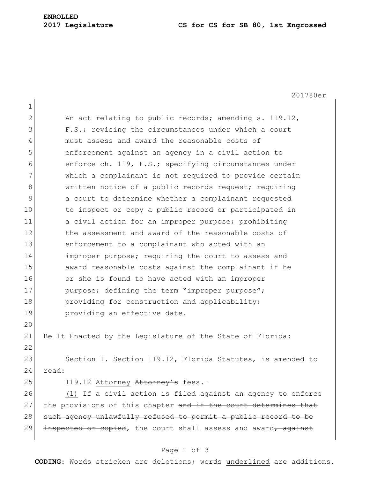# **ENROLLED**

#### **2017 Legislature CS for CS for SB 80, 1st Engrossed**

201780er 1 2 An act relating to public records; amending s. 119.12, 3 F.S.; revising the circumstances under which a court 4 must assess and award the reasonable costs of 5 enforcement against an agency in a civil action to 6 enforce ch. 119, F.S.; specifying circumstances under 7 which a complainant is not required to provide certain 8 written notice of a public records request; requiring 9 a court to determine whether a complainant requested 10 to inspect or copy a public record or participated in 11 a civil action for an improper purpose; prohibiting 12 the assessment and award of the reasonable costs of 13 enforcement to a complainant who acted with an 14 **improper purpose;** requiring the court to assess and 15 award reasonable costs against the complainant if he 16 or she is found to have acted with an improper 17 purpose; defining the term "improper purpose"; 18 **providing for construction and applicability;** 19 **providing an effective date.** 20 21 Be It Enacted by the Legislature of the State of Florida: 22 23 Section 1. Section 119.12, Florida Statutes, is amended to  $24$  read: 25 119.12 Attorney Attorney's fees.-26 (1) If a civil action is filed against an agency to enforce 27 the provisions of this chapter and if the court determines that 28 such agency unlawfully refused to permit a public record to be 29 inspected or copied, the court shall assess and award, against

## Page 1 of 3

**CODING**: Words stricken are deletions; words underlined are additions.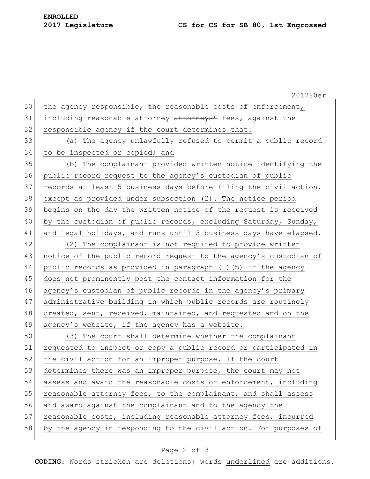# **2017 Legislature CS for CS for SB 80, 1st Engrossed**

201780er  $30$  the agency responsible, the reasonable costs of enforcement, 31 including reasonable attorney attorneys' fees, against the 32 responsible agency if the court determines that: 33 (a) The agency unlawfully refused to permit a public record 34 to be inspected or copied; and 35 (b) The complainant provided written notice identifying the 36 public record request to the agency's custodian of public 37 records at least 5 business days before filing the civil action, 38 except as provided under subsection (2). The notice period 39 begins on the day the written notice of the request is received 40 by the custodian of public records, excluding Saturday, Sunday, 41 and legal holidays, and runs until 5 business days have elapsed. 42 (2) The complainant is not required to provide written 43 notice of the public record request to the agency's custodian of 44 public records as provided in paragraph (1)(b) if the agency 45 does not prominently post the contact information for the 46 agency's custodian of public records in the agency's primary 47 administrative building in which public records are routinely 48 created, sent, received, maintained, and requested and on the  $49$  agency's website, if the agency has a website. 50 (3) The court shall determine whether the complainant 51 requested to inspect or copy a public record or participated in 52 the civil action for an improper purpose. If the court 53 determines there was an improper purpose, the court may not 54 assess and award the reasonable costs of enforcement, including 55 reasonable attorney fees, to the complainant, and shall assess 56 and award against the complainant and to the agency the 57 reasonable costs, including reasonable attorney fees, incurred 58 by the agency in responding to the civil action. For purposes of

## Page 2 of 3

**CODING**: Words stricken are deletions; words underlined are additions.